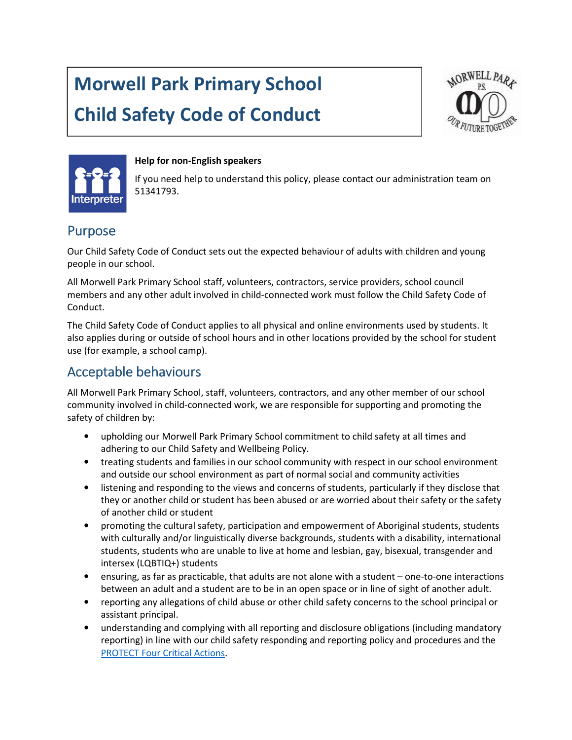# Morwell Park Primary School Child Safety Code of Conduct





#### Help for non-English speakers

If you need help to understand this policy, please contact our administration team on 51341793.

#### Purpose

Our Child Safety Code of Conduct sets out the expected behaviour of adults with children and young people in our school.

All Morwell Park Primary School staff, volunteers, contractors, service providers, school council members and any other adult involved in child-connected work must follow the Child Safety Code of Conduct.

The Child Safety Code of Conduct applies to all physical and online environments used by students. It also applies during or outside of school hours and in other locations provided by the school for student use (for example, a school camp).

#### Acceptable behaviours

All Morwell Park Primary School, staff, volunteers, contractors, and any other member of our school community involved in child-connected work, we are responsible for supporting and promoting the safety of children by:

- upholding our Morwell Park Primary School commitment to child safety at all times and adhering to our Child Safety and Wellbeing Policy.
- treating students and families in our school community with respect in our school environment and outside our school environment as part of normal social and community activities
- listening and responding to the views and concerns of students, particularly if they disclose that they or another child or student has been abused or are worried about their safety or the safety of another child or student
- promoting the cultural safety, participation and empowerment of Aboriginal students, students with culturally and/or linguistically diverse backgrounds, students with a disability, international students, students who are unable to live at home and lesbian, gay, bisexual, transgender and intersex (LQBTIQ+) students
- ensuring, as far as practicable, that adults are not alone with a student one-to-one interactions between an adult and a student are to be in an open space or in line of sight of another adult.
- reporting any allegations of child abuse or other child safety concerns to the school principal or assistant principal.
- understanding and complying with all reporting and disclosure obligations (including mandatory reporting) in line with our child safety responding and reporting policy and procedures and the PROTECT Four Critical Actions.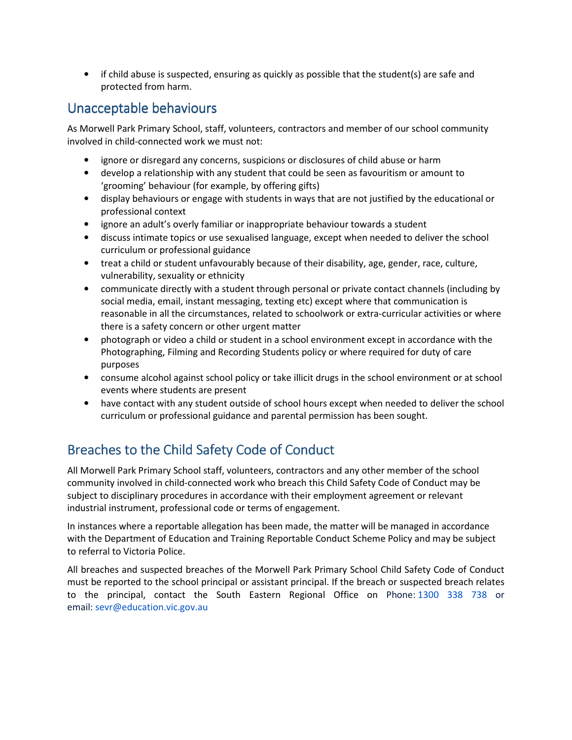• if child abuse is suspected, ensuring as quickly as possible that the student(s) are safe and protected from harm.

#### Unacceptable behaviours

As Morwell Park Primary School, staff, volunteers, contractors and member of our school community involved in child-connected work we must not:

- ignore or disregard any concerns, suspicions or disclosures of child abuse or harm
- develop a relationship with any student that could be seen as favouritism or amount to 'grooming' behaviour (for example, by offering gifts)
- display behaviours or engage with students in ways that are not justified by the educational or professional context
- ignore an adult's overly familiar or inappropriate behaviour towards a student
- discuss intimate topics or use sexualised language, except when needed to deliver the school curriculum or professional guidance
- treat a child or student unfavourably because of their disability, age, gender, race, culture, vulnerability, sexuality or ethnicity
- communicate directly with a student through personal or private contact channels (including by social media, email, instant messaging, texting etc) except where that communication is reasonable in all the circumstances, related to schoolwork or extra-curricular activities or where there is a safety concern or other urgent matter
- photograph or video a child or student in a school environment except in accordance with the Photographing, Filming and Recording Students policy or where required for duty of care purposes
- consume alcohol against school policy or take illicit drugs in the school environment or at school events where students are present
- have contact with any student outside of school hours except when needed to deliver the school curriculum or professional guidance and parental permission has been sought.

### Breaches to the Child Safety Code of Conduct

All Morwell Park Primary School staff, volunteers, contractors and any other member of the school community involved in child-connected work who breach this Child Safety Code of Conduct may be subject to disciplinary procedures in accordance with their employment agreement or relevant industrial instrument, professional code or terms of engagement.

In instances where a reportable allegation has been made, the matter will be managed in accordance with the Department of Education and Training Reportable Conduct Scheme Policy and may be subject to referral to Victoria Police.

All breaches and suspected breaches of the Morwell Park Primary School Child Safety Code of Conduct must be reported to the school principal or assistant principal. If the breach or suspected breach relates to the principal, contact the South Eastern Regional Office on Phone: 1300 338 738 or email: sevr@education.vic.gov.au